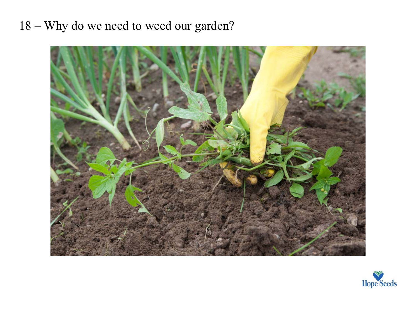## 18 – Why do we need to weed our garden?